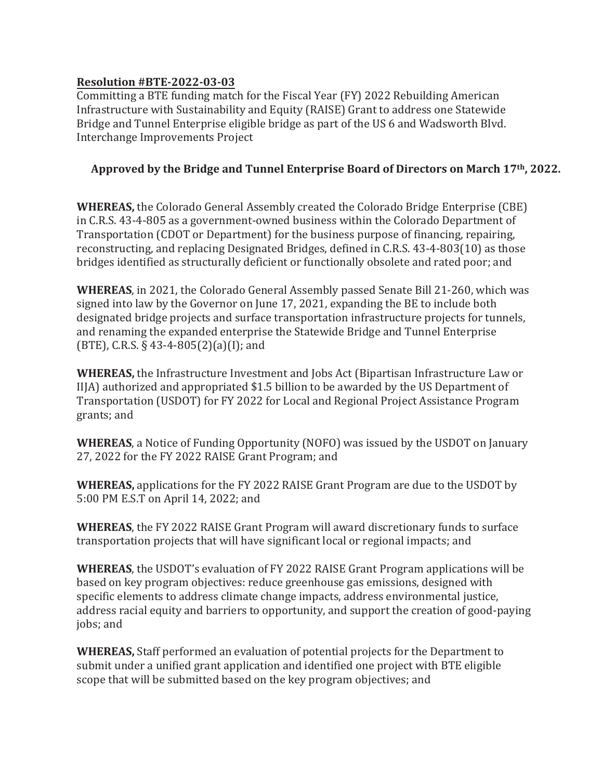## **Resolution #BTE-2022-03-03**

Committing a BTE funding match for the Fiscal Year (FY) 2022 Rebuilding American Infrastructure with Sustainability and Equity (RAISE) Grant to address one Statewide Bridge and Tunnel Enterprise eligible bridge as part of the US 6 and Wadsworth Blvd. Interchange Improvements Project

## **Approved by the Bridge and Tunnel Enterprise Board of Directors on March 17th, 2022.**

**WHEREAS,** the Colorado General Assembly created the Colorado Bridge Enterprise (CBE) in C.R.S. 43-4-805 as a government-owned business within the Colorado Department of Transportation (CDOT or Department) for the business purpose of financing, repairing, reconstructing, and replacing Designated Bridges, defined in C.R.S. 43-4-803(10) as those bridges identified as structurally deficient or functionally obsolete and rated poor; and

**WHEREAS**, in 2021, the Colorado General Assembly passed Senate Bill 21-260, which was signed into law by the Governor on June 17, 2021, expanding the BE to include both designated bridge projects and surface transportation infrastructure projects for tunnels, and renaming the expanded enterprise the Statewide Bridge and Tunnel Enterprise (BTE), C.R.S.  $\S$  43-4-805(2)(a)(I); and

**WHEREAS,** the Infrastructure Investment and Jobs Act (Bipartisan Infrastructure Law or IIJA) authorized and appropriated \$1.5 billion to be awarded by the US Department of Transportation (USDOT) for FY 2022 for Local and Regional Project Assistance Program grants; and

**WHEREAS**, a Notice of Funding Opportunity (NOFO) was issued by the USDOT on January 27, 2022 for the FY 2022 RAISE Grant Program; and

**WHEREAS,** applications for the FY 2022 RAISE Grant Program are due to the USDOT by 5:00 PM E.S.T on April 14, 2022; and

**WHEREAS**, the FY 2022 RAISE Grant Program will award discretionary funds to surface transportation projects that will have significant local or regional impacts; and

**WHEREAS**, the USDOT's evaluation of FY 2022 RAISE Grant Program applications will be based on key program objectives: reduce greenhouse gas emissions, designed with specific elements to address climate change impacts, address environmental justice, address racial equity and barriers to opportunity, and support the creation of good-paying jobs; and

**WHEREAS,** Staff performed an evaluation of potential projects for the Department to submit under a unified grant application and identified one project with BTE eligible scope that will be submitted based on the key program objectives; and